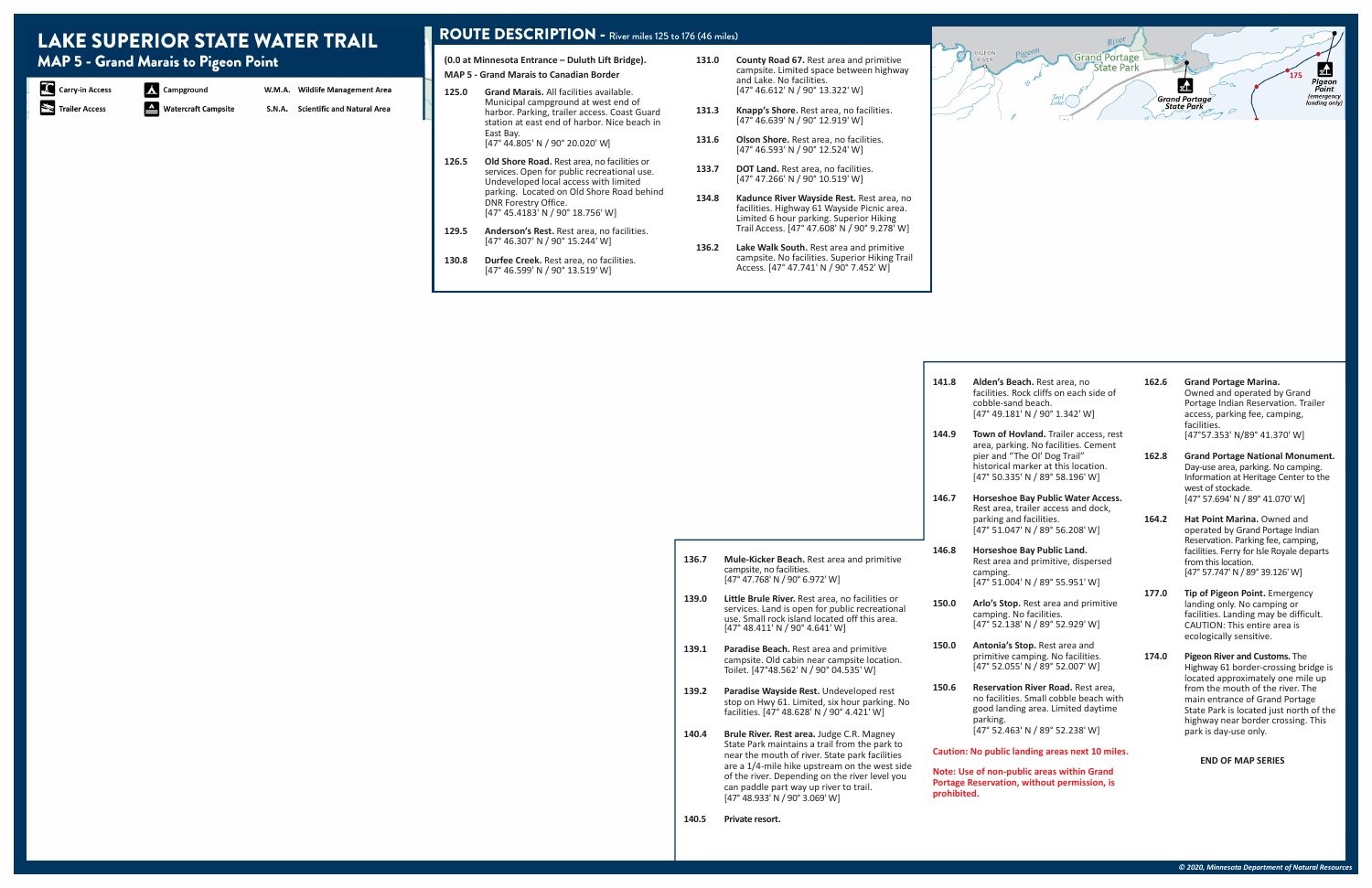- 131.0 County Road 67. Rest area and primitive campsite. Limited space between highway and Lake. No facilities. [47° 46.612' N / 90° 13.322' W]
- **131.3 Knapp's Shore.** Rest area, no facilities. [47° 46.639' N / 90° 12.919' W]
- 131.6 Olson Shore. Rest area, no facilities. [47° 46.593' N / 90° 12.524' W]
- 133.7 DOT Land. Rest area, no facilities. [47° 47.266' N / 90° 10.519' W]
- **134.8 Kadunce River Wayside Rest.** Rest area, no facilities. Highway 61 Wayside Picnic area. Limited 6 hour parking. Superior Hiking Trail Access. [47° 47.608' N / 90° 9.278' W]
- **136.2 Lake Walk South.** Rest area and primitive campsite. No facilities. Superior Hiking Trail Access. [47° 47.741' N / 90° 7.452' W]

### ROUTE DESCRIPTION - River miles 125 to 176 (46 miles)

**(0.0 at Minnesota Entrance – Duluth Lift Bridge).**

**MAP 5 - Grand Marais to Canadian Border**

|       |                                                                                                                                                                                                                               | 141.8                                                                                                    | Alden's Beach. Rest area, no<br>facilities. Rock cliffs on each side of<br>cobble-sand beach.<br>[47° 49.181' N / 90° 1.342' W]       | 162.6                    | <b>Grand Portage Marina.</b><br>Owned and operated by Grand<br>Portage Indian Reservation. Trailer<br>access, parking fee, camping,<br>facilities.                |
|-------|-------------------------------------------------------------------------------------------------------------------------------------------------------------------------------------------------------------------------------|----------------------------------------------------------------------------------------------------------|---------------------------------------------------------------------------------------------------------------------------------------|--------------------------|-------------------------------------------------------------------------------------------------------------------------------------------------------------------|
|       |                                                                                                                                                                                                                               | 144.9                                                                                                    | Town of Hovland. Trailer access, rest<br>area, parking. No facilities. Cement                                                         |                          | [47°57.353' N/89° 41.370' W]                                                                                                                                      |
|       |                                                                                                                                                                                                                               |                                                                                                          | pier and "The Ol' Dog Trail"<br>historical marker at this location.<br>[47° 50.335' N / 89° 58.196' W]                                | 162.8                    | <b>Grand Portage National Monument.</b><br>Day-use area, parking. No camping.<br>Information at Heritage Center to the<br>west of stockade.                       |
|       |                                                                                                                                                                                                                               | 146.7                                                                                                    | Horseshoe Bay Public Water Access.<br>Rest area, trailer access and dock,                                                             |                          | [47° 57.694' N / 89° 41.070' W]                                                                                                                                   |
|       |                                                                                                                                                                                                                               |                                                                                                          | parking and facilities.<br>[47° 51.047' N / 89° 56.208' W]                                                                            | 164.2                    | Hat Point Marina, Owned and<br>operated by Grand Portage Indian<br>Reservation. Parking fee, camping,                                                             |
| 136.7 | Mule-Kicker Beach. Rest area and primitive<br>campsite, no facilities.<br>[47° 47.768' N / 90° 6.972' W]                                                                                                                      | 146.8                                                                                                    | Horseshoe Bay Public Land.<br>Rest area and primitive, dispersed<br>camping.<br>[47° 51.004' N / 89° 55.951' W]                       |                          | facilities. Ferry for Isle Royale departs<br>from this location.<br>[47° 57.747' N / 89° 39.126' W]                                                               |
| 139.0 | Little Brule River. Rest area, no facilities or<br>services. Land is open for public recreational<br>use. Small rock island located off this area.<br>[47° 48.411' N / 90° 4.641' W]                                          | 150.0                                                                                                    | Arlo's Stop. Rest area and primitive<br>camping. No facilities.<br>[47° 52.138' N / 89° 52.929' W]                                    | 177.0                    | Tip of Pigeon Point. Emergency<br>landing only. No camping or<br>facilities. Landing may be difficult.<br>CAUTION: This entire area is<br>ecologically sensitive. |
| 139.1 | Paradise Beach. Rest area and primitive<br>campsite. Old cabin near campsite location.<br>Toilet. [47°48.562' N / 90° 04.535' W]                                                                                              | 150.0                                                                                                    | Antonia's Stop. Rest area and<br>primitive camping. No facilities.<br>[47° 52.055' N / 89° 52.007' W]                                 | 174.0                    | Pigeon River and Customs. The<br>Highway 61 border-crossing bridge is<br>located approximately one mile up                                                        |
| 139.2 | Paradise Wayside Rest. Undeveloped rest<br>stop on Hwy 61. Limited, six hour parking. No<br>facilities. [47° 48.628' N / 90° 4.421' W]                                                                                        | 150.6                                                                                                    | <b>Reservation River Road. Rest area.</b><br>no facilities. Small cobble beach with<br>good landing area. Limited daytime<br>parking. |                          | from the mouth of the river. The<br>main entrance of Grand Portage<br>State Park is located just north of the<br>highway near border crossing. This               |
| 140.4 | Brule River. Rest area. Judge C.R. Magney<br>State Park maintains a trail from the park to                                                                                                                                    |                                                                                                          | [47° 52.463' N / 89° 52.238' W]                                                                                                       |                          | park is day-use only.                                                                                                                                             |
|       | near the mouth of river. State park facilities<br>are a 1/4-mile hike upstream on the west side<br>of the river. Depending on the river level you<br>can paddle part way up river to trail.<br>[47° 48.933' N / 90° 3.069' W] | Caution: No public landing areas next 10 miles.                                                          |                                                                                                                                       | <b>END OF MAP SERIES</b> |                                                                                                                                                                   |
|       |                                                                                                                                                                                                                               | Note: Use of non-public areas within Grand<br>Portage Reservation, without permission, is<br>prohibited. |                                                                                                                                       |                          |                                                                                                                                                                   |
| 140.5 | Private resort.                                                                                                                                                                                                               |                                                                                                          |                                                                                                                                       |                          |                                                                                                                                                                   |
|       |                                                                                                                                                                                                                               |                                                                                                          |                                                                                                                                       |                          |                                                                                                                                                                   |

- **125.0 Grand Marais.** All facilities available. Municipal campground at west end of harbor. Parking, trailer access. Coast Guard station at east end of harbor. Nice beach in East Bay. [47° 44.805' N / 90° 20.020' W]
- **126.5 Old Shore Road.** Rest area, no facilities or services. Open for public recreational use. Undeveloped local access with limited parking. Located on Old Shore Road behind DNR Forestry Office. [47° 45.4183' N / 90° 18.756' W]
- **129.5 Anderson's Rest.** Rest area, no facilities. [47° 46.307' N / 90° 15.244' W]
- 130.8 Durfee Creek. Rest area, no facilities. [47° 46.599' N / 90° 13.519' W]